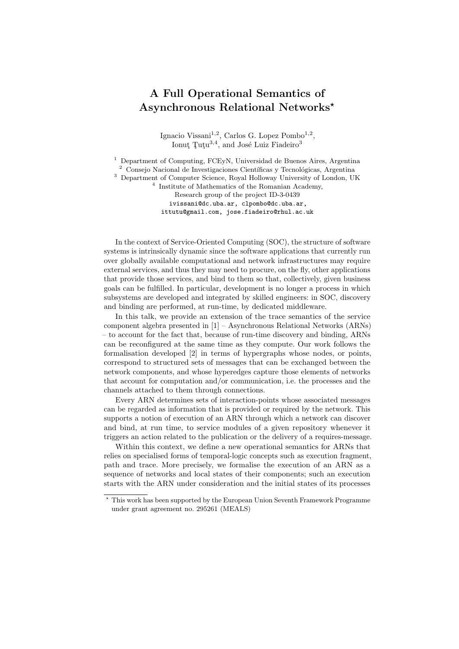## A Full Operational Semantics of Asynchronous Relational Networks?

Ignacio Vissani<sup>1,2</sup>, Carlos G. Lopez Pombo<sup>1,2</sup>, Ionut Tutu<sup>3,4</sup>, and José Luiz Fiadeiro<sup>3</sup>

<sup>1</sup> Department of Computing, FCEyN, Universidad de Buenos Aires, Argentina  $2$  Consejo Nacional de Investigaciones Científicas y Tecnológicas, Argentina <sup>3</sup> Department of Computer Science, Royal Holloway University of London, UK 4 Institute of Mathematics of the Romanian Academy, Research group of the project ID-3-0439 ivissani@dc.uba.ar, clpombo@dc.uba.ar, ittutu@gmail.com, jose.fiadeiro@rhul.ac.uk

In the context of Service-Oriented Computing (SOC), the structure of software systems is intrinsically dynamic since the software applications that currently run over globally available computational and network infrastructures may require external services, and thus they may need to procure, on the fly, other applications that provide those services, and bind to them so that, collectively, given business goals can be fulfilled. In particular, development is no longer a process in which subsystems are developed and integrated by skilled engineers: in SOC, discovery and binding are performed, at run-time, by dedicated middleware.

In this talk, we provide an extension of the trace semantics of the service component algebra presented in [1] – Asynchronous Relational Networks (ARNs) – to account for the fact that, because of run-time discovery and binding, ARNs can be reconfigured at the same time as they compute. Our work follows the formalisation developed [2] in terms of hypergraphs whose nodes, or points, correspond to structured sets of messages that can be exchanged between the network components, and whose hyperedges capture those elements of networks that account for computation and/or communication, i.e. the processes and the channels attached to them through connections.

Every ARN determines sets of interaction-points whose associated messages can be regarded as information that is provided or required by the network. This supports a notion of execution of an ARN through which a network can discover and bind, at run time, to service modules of a given repository whenever it triggers an action related to the publication or the delivery of a requires-message.

Within this context, we define a new operational semantics for ARNs that relies on specialised forms of temporal-logic concepts such as execution fragment, path and trace. More precisely, we formalise the execution of an ARN as a sequence of networks and local states of their components; such an execution starts with the ARN under consideration and the initial states of its processes

<sup>?</sup> This work has been supported by the European Union Seventh Framework Programme under grant agreement no. 295261 (MEALS)